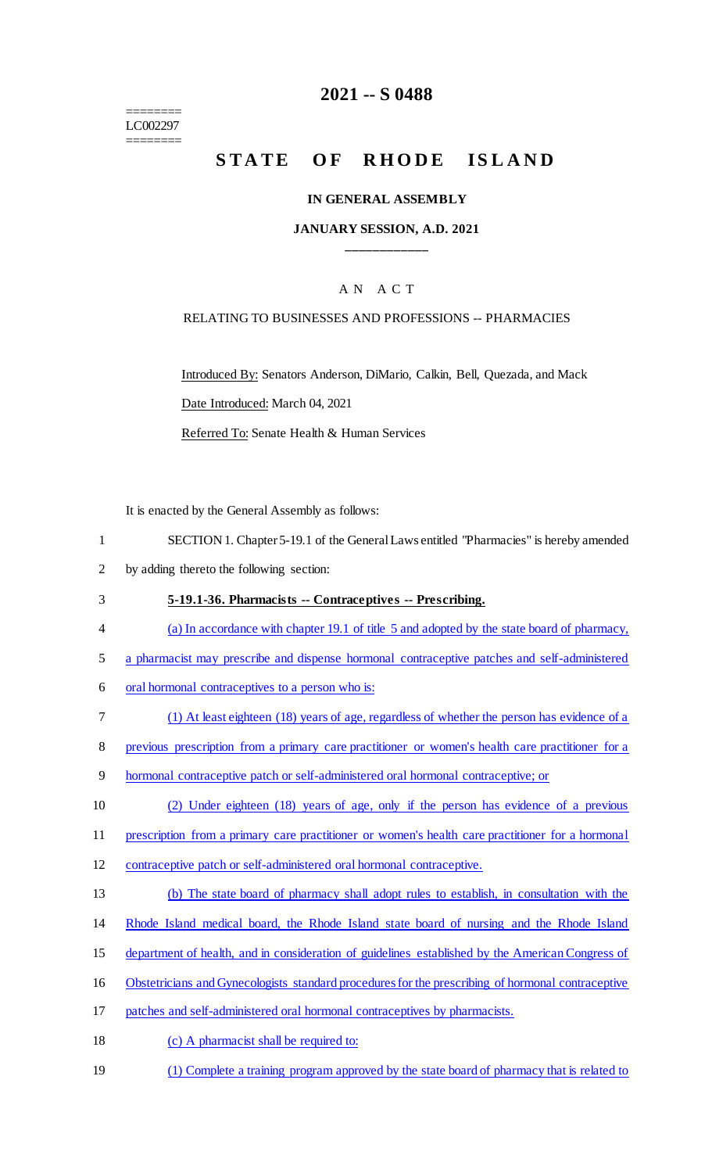======== LC002297 ========

# **2021 -- S 0488**

# STATE OF RHODE ISLAND

#### **IN GENERAL ASSEMBLY**

#### **JANUARY SESSION, A.D. 2021 \_\_\_\_\_\_\_\_\_\_\_\_**

## A N A C T

#### RELATING TO BUSINESSES AND PROFESSIONS -- PHARMACIES

Introduced By: Senators Anderson, DiMario, Calkin, Bell, Quezada, and Mack Date Introduced: March 04, 2021

Referred To: Senate Health & Human Services

It is enacted by the General Assembly as follows:

- 1 SECTION 1. Chapter 5-19.1 of the General Laws entitled "Pharmacies" is hereby amended
- 2 by adding thereto the following section:
- 3 **5-19.1-36. Pharmacists -- Contraceptives -- Prescribing.**
- 4 (a) In accordance with chapter 19.1 of title 5 and adopted by the state board of pharmacy,
- 5 a pharmacist may prescribe and dispense hormonal contraceptive patches and self-administered
- 6 oral hormonal contraceptives to a person who is:
- 7 (1) At least eighteen (18) years of age, regardless of whether the person has evidence of a

8 previous prescription from a primary care practitioner or women's health care practitioner for a

9 hormonal contraceptive patch or self-administered oral hormonal contraceptive; or

10 (2) Under eighteen (18) years of age, only if the person has evidence of a previous

- 11 prescription from a primary care practitioner or women's health care practitioner for a hormonal
- 12 contraceptive patch or self-administered oral hormonal contraceptive.
- 13 (b) The state board of pharmacy shall adopt rules to establish, in consultation with the
- 14 Rhode Island medical board, the Rhode Island state board of nursing and the Rhode Island
- 15 department of health, and in consideration of guidelines established by the American Congress of
- 16 Obstetricians and Gynecologists standard procedures for the prescribing of hormonal contraceptive
- 17 patches and self-administered oral hormonal contraceptives by pharmacists.
- 18 (c) A pharmacist shall be required to:
- 19 (1) Complete a training program approved by the state board of pharmacy that is related to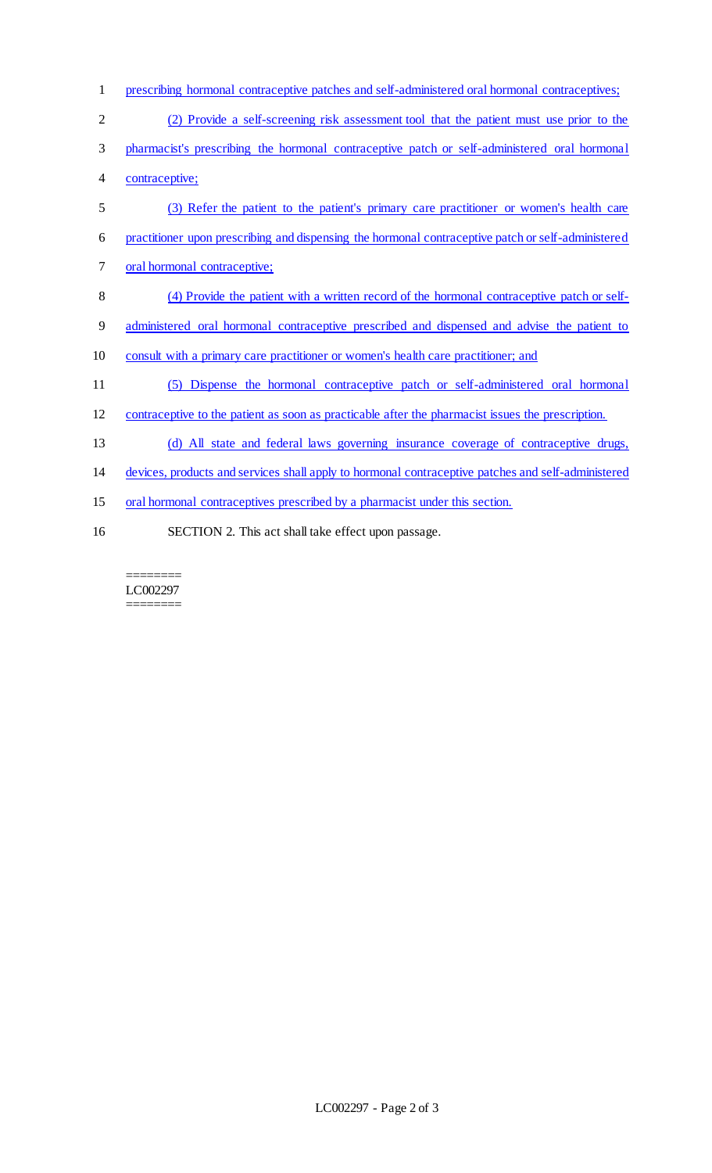| $\mathbf{1}$   | prescribing hormonal contraceptive patches and self-administered oral hormonal contraceptives;     |
|----------------|----------------------------------------------------------------------------------------------------|
| $\overline{2}$ | (2) Provide a self-screening risk assessment tool that the patient must use prior to the           |
| 3              | pharmacist's prescribing the hormonal contraceptive patch or self-administered oral hormonal       |
| 4              | contraceptive;                                                                                     |
| 5              | (3) Refer the patient to the patient's primary care practitioner or women's health care            |
| 6              | practitioner upon prescribing and dispensing the hormonal contraceptive patch or self-administered |
| 7              | oral hormonal contraceptive;                                                                       |
| 8              | (4) Provide the patient with a written record of the hormonal contraceptive patch or self-         |
| 9              | administered oral hormonal contraceptive prescribed and dispensed and advise the patient to        |
| 10             | consult with a primary care practitioner or women's health care practitioner; and                  |
| 11             | (5) Dispense the hormonal contraceptive patch or self-administered oral hormonal                   |
| 12             | contraceptive to the patient as soon as practicable after the pharmacist issues the prescription.  |
| 13             | (d) All state and federal laws governing insurance coverage of contraceptive drugs,                |
| 14             | devices, products and services shall apply to hormonal contraceptive patches and self-administered |
| 15             | oral hormonal contraceptives prescribed by a pharmacist under this section.                        |
| 16             | SECTION 2. This act shall take effect upon passage.                                                |

 $=$ LC002297 ========